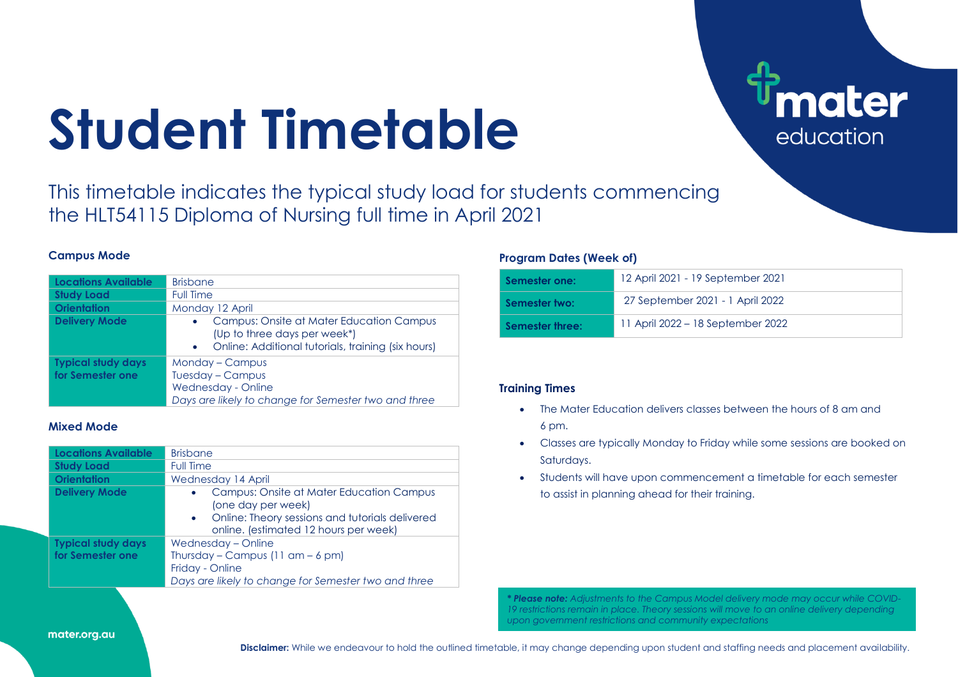# **Student Timetable**

This timetable indicates the typical study load for students commencing the HLT54115 Diploma of Nursing full time in April 2021

#### **Campus Mode**

| <b>Locations Available</b> | <b>Brisbane</b>                                                                                                                                          |  |  |  |  |  |  |  |
|----------------------------|----------------------------------------------------------------------------------------------------------------------------------------------------------|--|--|--|--|--|--|--|
| <b>Study Load</b>          | <b>Full Time</b>                                                                                                                                         |  |  |  |  |  |  |  |
| <b>Orientation</b>         | Monday 12 April                                                                                                                                          |  |  |  |  |  |  |  |
| <b>Delivery Mode</b>       | Campus: Onsite at Mater Education Campus<br>$\bullet$<br>(Up to three days per week*)<br>Online: Additional tutorials, training (six hours)<br>$\bullet$ |  |  |  |  |  |  |  |
| <b>Typical study days</b>  | Monday - Campus                                                                                                                                          |  |  |  |  |  |  |  |
| for Semester one           | Tuesday - Campus                                                                                                                                         |  |  |  |  |  |  |  |
|                            | Wednesday - Online                                                                                                                                       |  |  |  |  |  |  |  |
|                            | Days are likely to change for Semester two and three                                                                                                     |  |  |  |  |  |  |  |

### **Mixed Mode**

| <b>Locations Available</b> | <b>Brisbane</b>                                                                                                                                                           |
|----------------------------|---------------------------------------------------------------------------------------------------------------------------------------------------------------------------|
| <b>Study Load</b>          | <b>Full Time</b>                                                                                                                                                          |
| <b>Orientation</b>         | Wednesday 14 April                                                                                                                                                        |
| <b>Delivery Mode</b>       | Campus: Onsite at Mater Education Campus<br>$\bullet$<br>(one day per week)<br>• Online: Theory sessions and tutorials delivered<br>online. (estimated 12 hours per week) |
| <b>Typical study days</b>  | Wednesday – Online                                                                                                                                                        |
| for Semester one           | Thursday – Campus $(11$ am – 6 pm)                                                                                                                                        |
|                            | Friday - Online                                                                                                                                                           |
|                            | Days are likely to change for Semester two and three                                                                                                                      |

### **Program Dates (Week of)**

| Semester one:   | 12 April 2021 - 19 September 2021 |
|-----------------|-----------------------------------|
| Semester two:   | 27 September 2021 - 1 April 2022  |
| Semester three: | 11 April 2022 – 18 September 2022 |

**nater** 

education

## **Training Times**

- The Mater Education delivers classes between the hours of 8 am and 6 pm.
- Classes are typically Monday to Friday while some sessions are booked on Saturdays.
- Students will have upon commencement a timetable for each semester to assist in planning ahead for their training.

*\* Please note: Adjustments to the Campus Model delivery mode may occur while COVID-19 restrictions remain in place. Theory sessions will move to an online delivery depending upon government restrictions and community expectations*

mater.org.au

**Disclaimer:** While we endeavour to hold the outlined timetable, it may change depending upon student and staffing needs and placement availability.